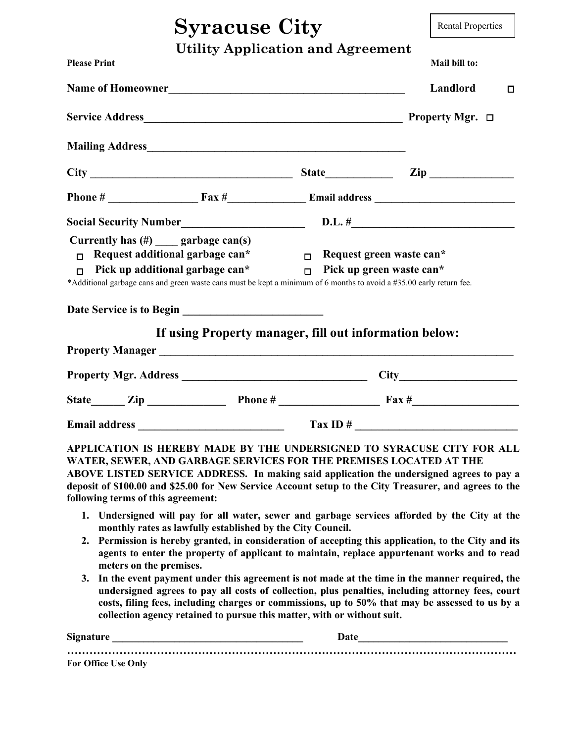## **Syracuse City**

Rental Properties

|  |  | <b>Utility Application and Agreement</b> |
|--|--|------------------------------------------|
|--|--|------------------------------------------|

| <b>Please Print</b><br>Name of Homeowner Name of Homeowner                                                                                                                                                                                            |                                                        |                                           | Mail bill to:                                                                                                                                                                                                                                                                                                                                                                 |  |
|-------------------------------------------------------------------------------------------------------------------------------------------------------------------------------------------------------------------------------------------------------|--------------------------------------------------------|-------------------------------------------|-------------------------------------------------------------------------------------------------------------------------------------------------------------------------------------------------------------------------------------------------------------------------------------------------------------------------------------------------------------------------------|--|
|                                                                                                                                                                                                                                                       |                                                        |                                           | Landlord<br>□                                                                                                                                                                                                                                                                                                                                                                 |  |
|                                                                                                                                                                                                                                                       |                                                        |                                           | <b>Property Mgr.</b> $\Box$                                                                                                                                                                                                                                                                                                                                                   |  |
| Mailing Address <b>Mailing Address</b> Mailing Address <b>Mailing Address</b>                                                                                                                                                                         |                                                        |                                           |                                                                                                                                                                                                                                                                                                                                                                               |  |
|                                                                                                                                                                                                                                                       |                                                        |                                           |                                                                                                                                                                                                                                                                                                                                                                               |  |
|                                                                                                                                                                                                                                                       |                                                        |                                           |                                                                                                                                                                                                                                                                                                                                                                               |  |
|                                                                                                                                                                                                                                                       |                                                        |                                           |                                                                                                                                                                                                                                                                                                                                                                               |  |
| Currently has $(\#)$ garbage can(s)<br>Request additional garbage can*<br>$\Box$<br>Pick up additional garbage can*<br>$\Box$<br>*Additional garbage cans and green waste cans must be kept a minimum of 6 months to avoid a #35.00 early return fee. | If using Property manager, fill out information below: | $\Box$ Request green waste can*<br>$\Box$ | Pick up green waste can*                                                                                                                                                                                                                                                                                                                                                      |  |
|                                                                                                                                                                                                                                                       |                                                        |                                           |                                                                                                                                                                                                                                                                                                                                                                               |  |
|                                                                                                                                                                                                                                                       |                                                        |                                           | Property Mgr. Address City                                                                                                                                                                                                                                                                                                                                                    |  |
|                                                                                                                                                                                                                                                       |                                                        |                                           | State $\qquad \qquad \text{Zip} \qquad \qquad \text{Phone} \# \qquad \qquad \text{Fax} \# \qquad \qquad \text{}$                                                                                                                                                                                                                                                              |  |
|                                                                                                                                                                                                                                                       |                                                        |                                           | Email address Tax ID #                                                                                                                                                                                                                                                                                                                                                        |  |
| WATER, SEWER, AND GARBAGE SERVICES FOR THE PREMISES LOCATED AT THE<br>following terms of this agreement:                                                                                                                                              |                                                        |                                           | APPLICATION IS HEREBY MADE BY THE UNDERSIGNED TO SYRACUSE CITY FOR ALL<br>ABOVE LISTED SERVICE ADDRESS. In making said application the undersigned agrees to pay a<br>deposit of \$100.00 and \$25.00 for New Service Account setup to the City Treasurer, and agrees to the<br>1. Undersigned will pay for all water, sewer and garbage services afforded by the City at the |  |

- **monthly rates as lawfully established by the City Council. 2. Permission is hereby granted, in consideration of accepting this application, to the City and its**
- **agents to enter the property of applicant to maintain, replace appurtenant works and to read meters on the premises.**
- **3. In the event payment under this agreement is not made at the time in the manner required, the undersigned agrees to pay all costs of collection, plus penalties, including attorney fees, court costs, filing fees, including charges or commissions, up to 50% that may be assessed to us by a collection agency retained to pursue this matter, with or without suit.**

| <b>Signature</b>           | Date |  |
|----------------------------|------|--|
| <b>For Office Use Only</b> |      |  |